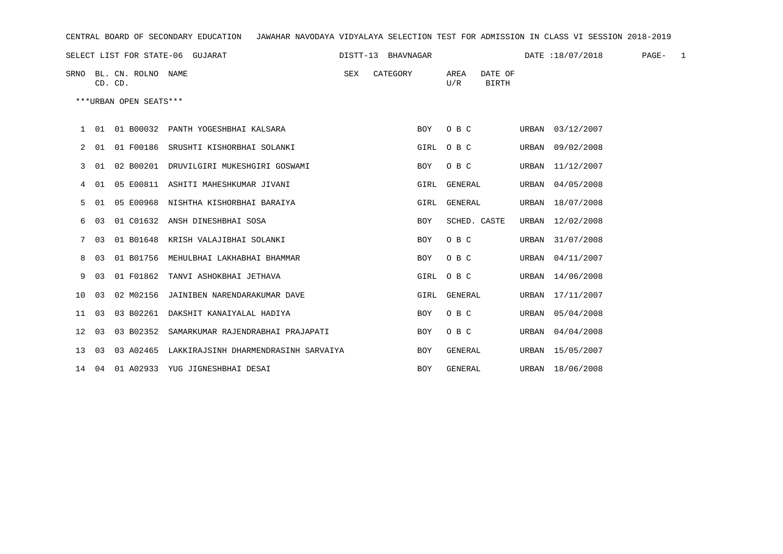| CENTRAL BOARD OF SECONDARY EDUCATION – JAWAHAR NAVODAYA VIDYALAYA SELECTION TEST FOR ADMISSION IN CLASS VI SESSION 2018-2019 |      |                                    |                                                |     |          |            |              |                  |  |                  |        |  |
|------------------------------------------------------------------------------------------------------------------------------|------|------------------------------------|------------------------------------------------|-----|----------|------------|--------------|------------------|--|------------------|--------|--|
|                                                                                                                              |      |                                    |                                                |     |          |            |              |                  |  |                  | PAGE-1 |  |
|                                                                                                                              |      | SRNO BL. CN. ROLNO NAME<br>CD. CD. |                                                | SEX | CATEGORY |            | AREA<br>U/R  | DATE OF<br>BIRTH |  |                  |        |  |
|                                                                                                                              |      | ***URBAN OPEN SEATS***             |                                                |     |          |            |              |                  |  |                  |        |  |
|                                                                                                                              |      |                                    | 1 01 01 B00032 PANTH YOGESHBHAI KALSARA        |     |          | BOY        | O B C        |                  |  | URBAN 03/12/2007 |        |  |
| 2                                                                                                                            | 01   |                                    | 01 F00186 SRUSHTI KISHORBHAI SOLANKI           |     |          |            | GIRL OBC     |                  |  | URBAN 09/02/2008 |        |  |
| 3                                                                                                                            | 01   |                                    | 02 B00201 DRUVILGIRI MUKESHGIRI GOSWAMI        |     |          | <b>BOY</b> | O B C        |                  |  | URBAN 11/12/2007 |        |  |
|                                                                                                                              | 401  |                                    | 05 E00811 ASHITI MAHESHKUMAR JIVANI            |     |          |            | GIRL GENERAL |                  |  | URBAN 04/05/2008 |        |  |
| 5.                                                                                                                           | -01  |                                    | 05 E00968 NISHTHA KISHORBHAI BARAIYA           |     |          |            | GIRL GENERAL |                  |  | URBAN 18/07/2008 |        |  |
| 6                                                                                                                            | 03   |                                    | 01 C01632 ANSH DINESHBHAI SOSA                 |     |          | <b>BOY</b> | SCHED. CASTE |                  |  | URBAN 12/02/2008 |        |  |
| 7                                                                                                                            | 03   |                                    | 01 B01648 KRISH VALAJIBHAI SOLANKI             |     |          | <b>BOY</b> | O B C        |                  |  | URBAN 31/07/2008 |        |  |
| 8                                                                                                                            | 03   |                                    | 01 B01756 MEHULBHAI LAKHABHAI BHAMMAR          |     |          | <b>BOY</b> | O B C        |                  |  | URBAN 04/11/2007 |        |  |
| 9                                                                                                                            | - 03 |                                    | 01 F01862 TANVI ASHOKBHAI JETHAVA              |     |          |            | GIRL OBC     |                  |  | URBAN 14/06/2008 |        |  |
| 1 O                                                                                                                          | - 03 |                                    | 02 M02156 JAINIBEN NARENDARAKUMAR DAVE         |     |          |            | GIRL GENERAL |                  |  | URBAN 17/11/2007 |        |  |
| 11 03                                                                                                                        |      |                                    | 03 B02261 DAKSHIT KANAIYALAL HADIYA            |     |          | <b>BOY</b> | O B C        |                  |  | URBAN 05/04/2008 |        |  |
| 12 03                                                                                                                        |      |                                    | 03 B02352 SAMARKUMAR RAJENDRABHAI PRAJAPATI    |     |          | <b>BOY</b> | O B C        |                  |  | URBAN 04/04/2008 |        |  |
| 13 03                                                                                                                        |      |                                    | 03 A02465 LAKKIRAJSINH DHARMENDRASINH SARVAIYA |     |          | BOY        | GENERAL      |                  |  | URBAN 15/05/2007 |        |  |
|                                                                                                                              |      |                                    | 14 04 01 A02933 YUG JIGNESHBHAI DESAI          |     |          | <b>BOY</b> | GENERAL      |                  |  | URBAN 18/06/2008 |        |  |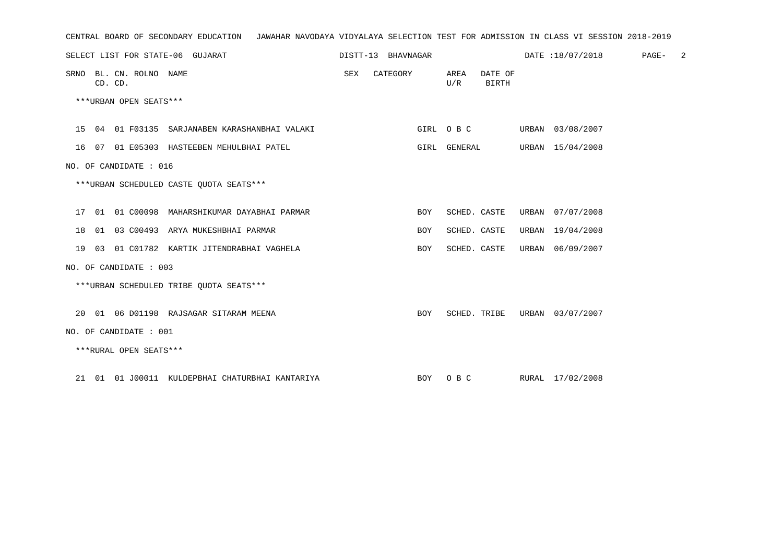| CENTRAL BOARD OF SECONDARY EDUCATION – JAWAHAR NAVODAYA VIDYALAYA SELECTION TEST FOR ADMISSION IN CLASS VI SESSION 2018-2019 |                   |            |     |                  |                                            |  |
|------------------------------------------------------------------------------------------------------------------------------|-------------------|------------|-----|------------------|--------------------------------------------|--|
| SELECT LIST FOR STATE-06 GUJARAT                                                                                             |                   |            |     |                  | DISTT-13 BHAVNAGAR DATE:18/07/2018 PAGE- 2 |  |
| SRNO BL. CN. ROLNO NAME<br>CD. CD.                                                                                           | SEX CATEGORY AREA |            | U/R | DATE OF<br>BIRTH |                                            |  |
| ***URBAN OPEN SEATS***                                                                                                       |                   |            |     |                  |                                            |  |
| 15 04 01 F03135 SARJANABEN KARASHANBHAI VALAKI                                                                               |                   |            |     |                  | GIRL O B C URBAN 03/08/2007                |  |
| 16 07 01 E05303 HASTEEBEN MEHULBHAI PATEL                                                                                    |                   |            |     |                  | GIRL GENERAL URBAN 15/04/2008              |  |
| NO. OF CANDIDATE : 016                                                                                                       |                   |            |     |                  |                                            |  |
| ***URBAN SCHEDULED CASTE OUOTA SEATS***                                                                                      |                   |            |     |                  |                                            |  |
| 17 01 01 C00098 MAHARSHIKUMAR DAYABHAI PARMAR                                                                                |                   | BOY        |     |                  | SCHED. CASTE URBAN 07/07/2008              |  |
| 18 01 03 C00493 ARYA MUKESHBHAI PARMAR                                                                                       |                   | BOY        |     |                  | SCHED. CASTE URBAN 19/04/2008              |  |
| 19 03 01 C01782 KARTIK JITENDRABHAI VAGHELA                                                                                  |                   | <b>BOY</b> |     |                  | SCHED. CASTE URBAN 06/09/2007              |  |
| NO. OF CANDIDATE : 003                                                                                                       |                   |            |     |                  |                                            |  |
| ***URBAN SCHEDULED TRIBE OUOTA SEATS***                                                                                      |                   |            |     |                  |                                            |  |
| 20 01 06 D01198 RAJSAGAR SITARAM MEENA                                                                                       |                   | BOY        |     |                  | SCHED. TRIBE URBAN 03/07/2007              |  |
| NO. OF CANDIDATE : 001                                                                                                       |                   |            |     |                  |                                            |  |
| ***RURAL OPEN SEATS***                                                                                                       |                   |            |     |                  |                                            |  |
| 21 01 01 J00011 KULDEPBHAI CHATURBHAI KANTARIYA MARI BOY O B C RURAL 17/02/2008                                              |                   |            |     |                  |                                            |  |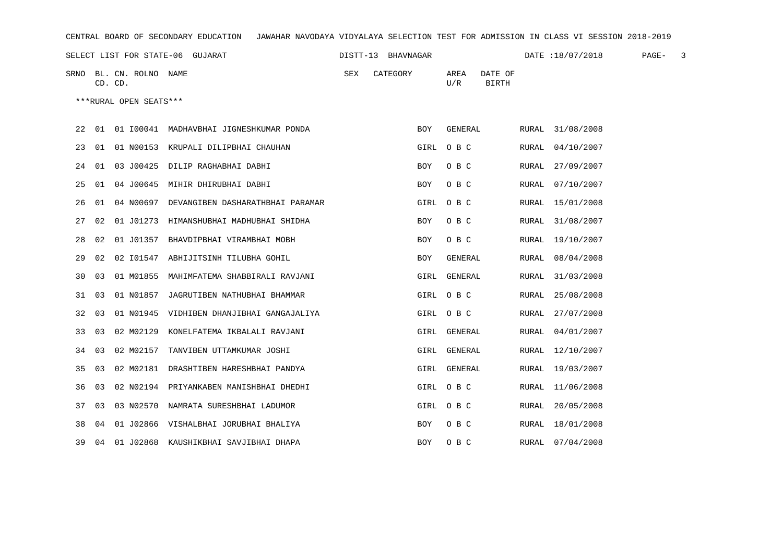| CENTRAL BOARD OF SECONDARY EDUCATION GAWAHAR NAVODAYA VIDYALAYA SELECTION TEST FOR ADMISSION IN CLASS VI SESSION 2018-2019 |       |                                    |                                               |  |              |      |                                     |  |                  |  |  |  |
|----------------------------------------------------------------------------------------------------------------------------|-------|------------------------------------|-----------------------------------------------|--|--------------|------|-------------------------------------|--|------------------|--|--|--|
|                                                                                                                            |       |                                    |                                               |  |              |      |                                     |  |                  |  |  |  |
|                                                                                                                            |       | SRNO BL. CN. ROLNO NAME<br>CD. CD. |                                               |  | SEX CATEGORY |      | AREA DATE OF<br>U/R<br><b>BIRTH</b> |  |                  |  |  |  |
|                                                                                                                            |       | ***RURAL OPEN SEATS***             |                                               |  |              |      |                                     |  |                  |  |  |  |
|                                                                                                                            |       |                                    | 22 01 01 100041 MADHAVBHAI JIGNESHKUMAR PONDA |  |              | BOY  | GENERAL                             |  | RURAL 31/08/2008 |  |  |  |
|                                                                                                                            |       |                                    | 23 01 01 N00153 KRUPALI DILIPBHAI CHAUHAN     |  |              |      | GIRL OBC                            |  | RURAL 04/10/2007 |  |  |  |
|                                                                                                                            |       |                                    | 24 01 03 J00425 DILIP RAGHABHAI DABHI         |  |              | BOY  | O B C                               |  | RURAL 27/09/2007 |  |  |  |
|                                                                                                                            |       |                                    | 25 01 04 J00645 MIHIR DHIRUBHAI DABHI         |  |              | BOY  | O B C                               |  | RURAL 07/10/2007 |  |  |  |
| 26                                                                                                                         | 01    |                                    | 04 N00697 DEVANGIBEN DASHARATHBHAI PARAMAR    |  |              | GIRL | $O$ B C                             |  | RURAL 15/01/2008 |  |  |  |
|                                                                                                                            |       |                                    | 27 02 01 J01273 HIMANSHUBHAI MADHUBHAI SHIDHA |  |              | BOY  | O B C                               |  | RURAL 31/08/2007 |  |  |  |
| 28                                                                                                                         | 02    |                                    | 01 J01357 BHAVDIPBHAI VIRAMBHAI MOBH          |  |              | BOY  | $O$ B C                             |  | RURAL 19/10/2007 |  |  |  |
|                                                                                                                            |       |                                    | 29 02 02 I01547 ABHIJITSINH TILUBHA GOHIL     |  |              | BOY  | GENERAL                             |  | RURAL 08/04/2008 |  |  |  |
| 30                                                                                                                         | 0.3   |                                    | 01 M01855 MAHIMFATEMA SHABBIRALI RAVJANI      |  |              |      | GIRL GENERAL                        |  | RURAL 31/03/2008 |  |  |  |
|                                                                                                                            |       |                                    | 31 03 01 N01857 JAGRUTIBEN NATHUBHAI BHAMMAR  |  |              |      | GIRL OBC                            |  | RURAL 25/08/2008 |  |  |  |
|                                                                                                                            | 32 03 |                                    | 01 N01945 VIDHIBEN DHANJIBHAI GANGAJALIYA     |  |              |      | GIRL OBC                            |  | RURAL 27/07/2008 |  |  |  |
|                                                                                                                            | 33 03 |                                    | 02 M02129 KONELFATEMA IKBALALI RAVJANI        |  |              |      | GIRL GENERAL                        |  | RURAL 04/01/2007 |  |  |  |
|                                                                                                                            | 34 03 |                                    | 02 M02157 TANVIBEN UTTAMKUMAR JOSHI           |  |              |      | GIRL GENERAL                        |  | RURAL 12/10/2007 |  |  |  |
|                                                                                                                            | 35 03 |                                    | 02 M02181 DRASHTIBEN HARESHBHAI PANDYA        |  |              |      | GIRL GENERAL                        |  | RURAL 19/03/2007 |  |  |  |
|                                                                                                                            | 36 03 |                                    | 02 N02194 PRIYANKABEN MANISHBHAI DHEDHI       |  |              |      | GIRL OBC                            |  | RURAL 11/06/2008 |  |  |  |
|                                                                                                                            |       |                                    | 37 03 03 N02570 NAMRATA SURESHBHAI LADUMOR    |  |              |      | GIRL OBC                            |  | RURAL 20/05/2008 |  |  |  |
|                                                                                                                            |       |                                    | 38 04 01 J02866 VISHALBHAI JORUBHAI BHALIYA   |  |              |      | BOY OBC                             |  | RURAL 18/01/2008 |  |  |  |

39 04 01 J02868 KAUSHIKBHAI SAVJIBHAI DHAPA BOY O B C RURAL 07/04/2008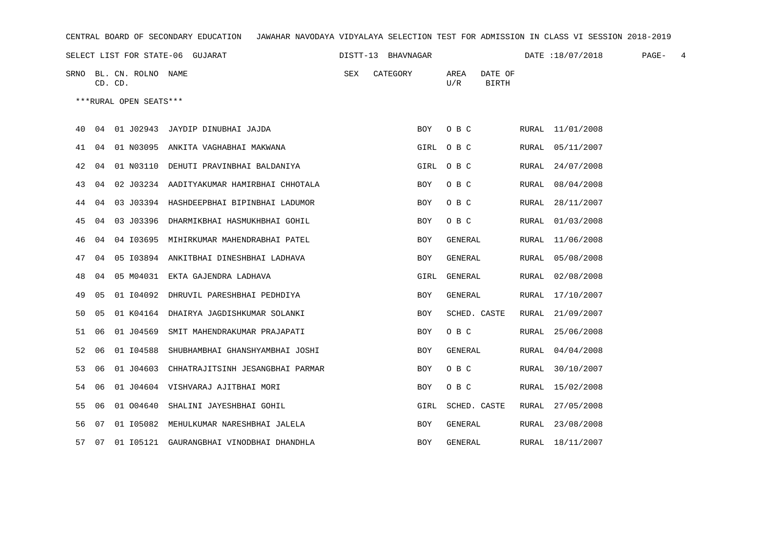| CENTRAL BOARD OF SECONDARY EDUCATION – JAWAHAR NAVODAYA VIDYALAYA SELECTION TEST FOR ADMISSION IN CLASS VI SESSION 2018-2019 |         |  |                         |                                                |                    |  |          |            |             |                         |  |                  |        |  |
|------------------------------------------------------------------------------------------------------------------------------|---------|--|-------------------------|------------------------------------------------|--------------------|--|----------|------------|-------------|-------------------------|--|------------------|--------|--|
|                                                                                                                              |         |  |                         | SELECT LIST FOR STATE-06 GUJARAT               | DISTT-13 BHAVNAGAR |  |          |            |             |                         |  | DATE:18/07/2018  | PAGE-4 |  |
|                                                                                                                              | CD. CD. |  | SRNO BL. CN. ROLNO NAME |                                                | SEX                |  | CATEGORY |            | AREA<br>U/R | DATE OF<br><b>BIRTH</b> |  |                  |        |  |
|                                                                                                                              |         |  | ***RURAL OPEN SEATS***  |                                                |                    |  |          |            |             |                         |  |                  |        |  |
|                                                                                                                              |         |  |                         | 40 04 01 J02943 JAYDIP DINUBHAI JAJDA          |                    |  |          | BOY        |             | $O$ B C                 |  | RURAL 11/01/2008 |        |  |
|                                                                                                                              | 41 04   |  |                         | 01 N03095 ANKITA VAGHABHAI MAKWANA             |                    |  |          |            | GIRL OBC    |                         |  | RURAL 05/11/2007 |        |  |
| 42                                                                                                                           | 04      |  |                         | 01 N03110 DEHUTI PRAVINBHAI BALDANIYA          |                    |  |          | GIRL       | $O$ B $C$   |                         |  | RURAL 24/07/2008 |        |  |
| 43                                                                                                                           | 04      |  |                         | 02 J03234 AADITYAKUMAR HAMIRBHAI CHHOTALA      |                    |  |          | BOY        | O B C       |                         |  | RURAL 08/04/2008 |        |  |
| 44                                                                                                                           | 04      |  |                         | 03 J03394 HASHDEEPBHAI BIPINBHAI LADUMOR       |                    |  |          | BOY        | O B C       |                         |  | RURAL 28/11/2007 |        |  |
| 45                                                                                                                           | 04      |  |                         | 03 J03396 DHARMIKBHAI HASMUKHBHAI GOHIL        |                    |  |          | BOY        | O B C       |                         |  | RURAL 01/03/2008 |        |  |
| 46                                                                                                                           | 04      |  |                         | 04 I03695 MIHIRKUMAR MAHENDRABHAI PATEL        |                    |  |          | BOY        | GENERAL     |                         |  | RURAL 11/06/2008 |        |  |
| 47                                                                                                                           | 04      |  |                         | 05 103894 ANKITBHAI DINESHBHAI LADHAVA         |                    |  |          | BOY        | GENERAL     |                         |  | RURAL 05/08/2008 |        |  |
| 48                                                                                                                           | 04      |  |                         | 05 M04031 EKTA GAJENDRA LADHAVA                |                    |  |          | GIRL       | GENERAL     |                         |  | RURAL 02/08/2008 |        |  |
| 49                                                                                                                           | 05      |  |                         | 01 104092 DHRUVIL PARESHBHAI PEDHDIYA          |                    |  |          | BOY        | GENERAL     |                         |  | RURAL 17/10/2007 |        |  |
| 50                                                                                                                           | 05      |  |                         | 01 K04164 DHAIRYA JAGDISHKUMAR SOLANKI         |                    |  |          | BOY        |             | SCHED. CASTE            |  | RURAL 21/09/2007 |        |  |
| 51                                                                                                                           | 06      |  |                         | 01 J04569 SMIT MAHENDRAKUMAR PRAJAPATI         |                    |  |          | BOY        | O B C       |                         |  | RURAL 25/06/2008 |        |  |
| 52                                                                                                                           | 06      |  |                         | 01 I04588 SHUBHAMBHAI GHANSHYAMBHAI JOSHI      |                    |  |          | BOY        | GENERAL     |                         |  | RURAL 04/04/2008 |        |  |
| 53                                                                                                                           | 06      |  | 01 J04603               | CHHATRAJITSINH JESANGBHAI PARMAR               |                    |  |          | <b>BOY</b> | O B C       |                         |  | RURAL 30/10/2007 |        |  |
| 54                                                                                                                           | 06      |  |                         | 01 J04604 VISHVARAJ AJITBHAI MORI              |                    |  |          | BOY        | O B C       |                         |  | RURAL 15/02/2008 |        |  |
| 55                                                                                                                           | 06      |  |                         | 01 004640 SHALINI JAYESHBHAI GOHIL             |                    |  |          | GIRL       |             | SCHED. CASTE            |  | RURAL 27/05/2008 |        |  |
| 56                                                                                                                           | 07      |  |                         | 01 105082 MEHULKUMAR NARESHBHAI JALELA         |                    |  |          | BOY        | GENERAL     |                         |  | RURAL 23/08/2008 |        |  |
|                                                                                                                              |         |  |                         | 57 07 01 105121 GAURANGBHAI VINODBHAI DHANDHLA |                    |  |          | BOY        | GENERAL     |                         |  | RURAL 18/11/2007 |        |  |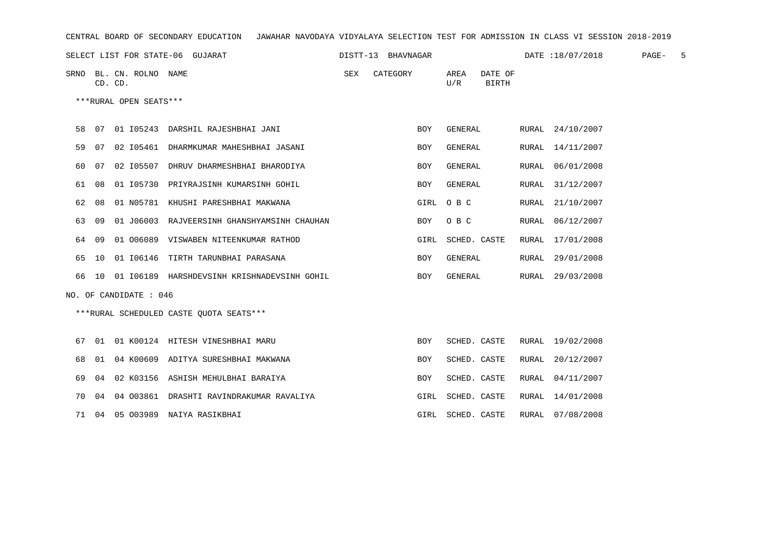| CENTRAL BOARD OF SECONDARY EDUCATION – JAWAHAR NAVODAYA VIDYALAYA SELECTION TEST FOR ADMISSION IN CLASS VI SESSION 2018-2019                                                                                                   |  |                                    |                                                   |  |              |            |                               |  |                  |  |  |
|--------------------------------------------------------------------------------------------------------------------------------------------------------------------------------------------------------------------------------|--|------------------------------------|---------------------------------------------------|--|--------------|------------|-------------------------------|--|------------------|--|--|
| SELECT LIST FOR STATE-06 GUJARAT 6 19 19 19 19 2012 12:30 2013 12:40 2014 12:40 2014 12:40 2014 12:50 2015 12:40 2014 12:40 2015 12:40 2014 12:40 2014 12:40 2014 12:40 2014 12:40 2014 12:40 2014 12:40 2014 12:40 2014 12:40 |  |                                    |                                                   |  |              |            |                               |  |                  |  |  |
|                                                                                                                                                                                                                                |  | SRNO BL. CN. ROLNO NAME<br>CD. CD. |                                                   |  | SEX CATEGORY |            | AREA DATE OF<br>U/R<br>BIRTH  |  |                  |  |  |
|                                                                                                                                                                                                                                |  | ***RURAL OPEN SEATS***             |                                                   |  |              |            |                               |  |                  |  |  |
|                                                                                                                                                                                                                                |  |                                    | 58 07 01 I05243 DARSHIL RAJESHBHAI JANI           |  |              | <b>BOY</b> | GENERAL                       |  | RURAL 24/10/2007 |  |  |
|                                                                                                                                                                                                                                |  |                                    | 59 07 02 105461 DHARMKUMAR MAHESHBHAI JASANI      |  |              | <b>BOY</b> | GENERAL                       |  | RURAL 14/11/2007 |  |  |
|                                                                                                                                                                                                                                |  |                                    | 60 07 02 105507 DHRUV DHARMESHBHAI BHARODIYA      |  |              | <b>BOY</b> | GENERAL                       |  | RURAL 06/01/2008 |  |  |
|                                                                                                                                                                                                                                |  |                                    | 61 08 01 105730 PRIYRAJSINH KUMARSINH GOHIL       |  |              | <b>BOY</b> | GENERAL                       |  | RURAL 31/12/2007 |  |  |
|                                                                                                                                                                                                                                |  |                                    | 62 08 01 N05781 KHUSHI PARESHBHAI MAKWANA         |  |              |            | GIRL OBC                      |  | RURAL 21/10/2007 |  |  |
|                                                                                                                                                                                                                                |  |                                    | 63 09 01 J06003 RAJVEERSINH GHANSHYAMSINH CHAUHAN |  |              | BOY        | O B C                         |  | RURAL 06/12/2007 |  |  |
|                                                                                                                                                                                                                                |  |                                    | 64 09 01 006089 VISWABEN NITEENKUMAR RATHOD       |  |              |            | GIRL SCHED. CASTE             |  | RURAL 17/01/2008 |  |  |
|                                                                                                                                                                                                                                |  |                                    | 65 10 01 106146 TIRTH TARUNBHAI PARASANA          |  |              | BOY        | GENERAL                       |  | RURAL 29/01/2008 |  |  |
|                                                                                                                                                                                                                                |  |                                    | 66 10 01 106189 HARSHDEVSINH KRISHNADEVSINH GOHIL |  |              | BOY        | GENERAL                       |  | RURAL 29/03/2008 |  |  |
|                                                                                                                                                                                                                                |  | NO. OF CANDIDATE : 046             |                                                   |  |              |            |                               |  |                  |  |  |
|                                                                                                                                                                                                                                |  |                                    | ***RURAL SCHEDULED CASTE QUOTA SEATS***           |  |              |            |                               |  |                  |  |  |
|                                                                                                                                                                                                                                |  |                                    | 67 01 01 K00124 HITESH VINESHBHAI MARU            |  |              | <b>BOY</b> | SCHED. CASTE RURAL 19/02/2008 |  |                  |  |  |
|                                                                                                                                                                                                                                |  |                                    | 68 01 04 K00609 ADITYA SURESHBHAI MAKWANA         |  |              | <b>BOY</b> | SCHED. CASTE                  |  | RURAL 20/12/2007 |  |  |
|                                                                                                                                                                                                                                |  |                                    | 69 04 02 K03156 ASHISH MEHULBHAI BARAIYA          |  |              | BOY        | SCHED. CASTE                  |  | RURAL 04/11/2007 |  |  |
|                                                                                                                                                                                                                                |  |                                    | 70 04 04 003861 DRASHTI RAVINDRAKUMAR RAVALIYA    |  |              |            | GIRL SCHED. CASTE             |  | RURAL 14/01/2008 |  |  |
|                                                                                                                                                                                                                                |  |                                    | 71 04 05 003989 NAIYA RASIKBHAI                   |  |              |            | GIRL SCHED. CASTE             |  | RURAL 07/08/2008 |  |  |